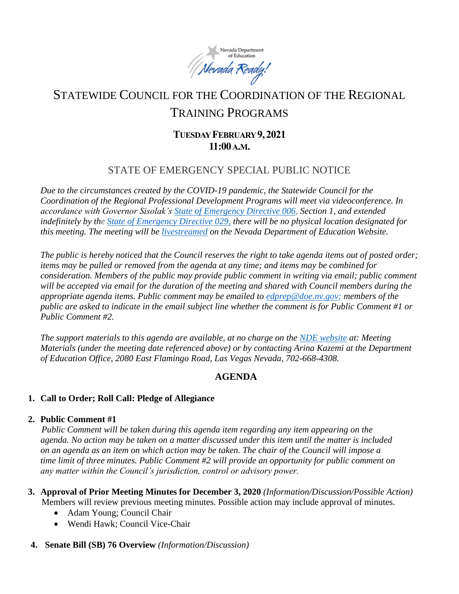

# STATEWIDE COUNCIL FOR THE COORDINATION OF THE REGIONAL TRAINING PROGRAMS

# **TUESDAY FEBRUARY9,2021 11:00A.M.**

## STATE OF EMERGENCY SPECIAL PUBLIC NOTICE

*Due to the circumstances created by the COVID-19 pandemic, the Statewide Council for the Coordination of the Regional Professional Development Programs will meet via videoconference. In accordance with Governor Sisolak's [State of Emergency Directive 006,](http://gov.nv.gov/News/Emergency_Orders/2020/2020-03-22_-_COVID-19_Declaration_of_Emergency_Directive_006/) Section 1, and extended indefinitely by the [State of Emergency Directive 029,](http://gov.nv.gov/News/Emergency_Orders/2020/2020-06-29_-_COVID-19_Declaration_of_Emergency_Directive_026/) there will be no physical location designated for this meeting. The meeting will be [livestreamed](http://www.doe.nv.gov/Boards_Commissions_Councils/Statewide_Council_Reg_Training/Meeting_Materials/) on the Nevada Department of Education Website.*

*The public is hereby noticed that the Council reserves the right to take agenda items out of posted order; items may be pulled or removed from the agenda at any time; and items may be combined for consideration. Members of the public may provide public comment in writing via email; public comment will be accepted via email for the duration of the meeting and shared with Council members during the appropriate agenda items. Public comment may be emailed to [edprep@doe.nv.gov;](mailto:edprep@doe.nv.gov) members of the public are asked to indicate in the email subject line whether the comment is for Public Comment #1 or Public Comment #2.* 

*The support materials to this agenda are available, at no charge on the [NDE website](http://www.doe.nv.gov/Boards_Commissions_Councils/Statewide_Council_Reg_Training/Statewide_Council_for_the_Coordination_of_Regional_Training_Programs/) at: Meeting Materials (under the meeting date referenced above) or by contacting Arina Kazemi at the Department of Education Office, 2080 East Flamingo Road, Las Vegas Nevada, 702-668-4308.* 

## **AGENDA**

## **1. Call to Order; Roll Call: Pledge of Allegiance**

#### **2. Public Comment #1**

*Public Comment will be taken during this agenda item regarding any item appearing on the agenda. No action may be taken on a matter discussed under this item until the matter is included on an agenda as an item on which action may be taken. The chair of the Council will impose a time limit of three minutes. Public Comment #2 will provide an opportunity for public comment on any matter within the Council's jurisdiction, control or advisory power.*

- **3. Approval of Prior Meeting Minutes for December 3, 2020** *(Information/Discussion/Possible Action)* Members will review previous meeting minutes. Possible action may include approval of minutes.
	- Adam Young; Council Chair
	- Wendi Hawk; Council Vice-Chair

## **4. Senate Bill (SB) 76 Overview** *(Information/Discussion)*